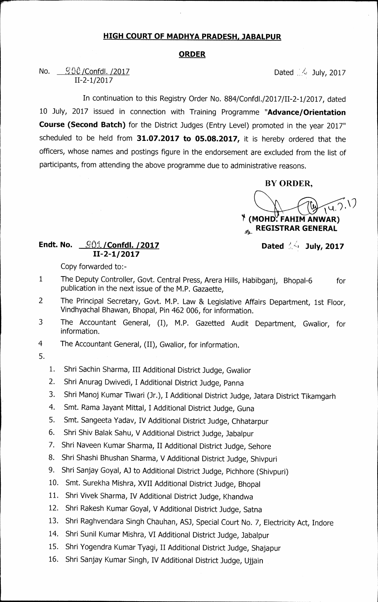## **HIGH COURT OF MADHYA PRADESH, JABALPUR**

## **ORDER**

No.  $\frac{900}{2017}$  Dated 1.4 July, 2017 11-2-1/2017

In continuation to this Registry Order No. 884/Confdl./2017/11-2-1/2017, dated 10 July, 2017 issued in connection with Training Programme **"Advance/Orientation Course (Second Batch)** for the District Judges (Entry Level) promoted in the year 2017" scheduled to be held from **31.07.2017 to 05.08.2017,** it is hereby ordered that the officers, whose names and postings figure in the endorsement are excluded from the list of participants, from attending the above programme due to administrative reasons.

**BY ORDER,** 

**<sup>r</sup>). 1 • (MOHD. FAHIM AN WAR) REGISTRAR GENERAL**   $\mathbf{A}$ 

## **Endt. No.**  $\frac{Q01}{2}$  / Confdl. /2017 **Dated Algebra** Dated Algebra 2017 **11-2-1/2017**

Copy forwarded to:-

- 1 The Deputy Controller, Govt. Central Press, Arera Hills, Habibganj, Bhopal-6 for publication in the next issue of the M.P. Gazaette,
- 2 The Principal Secretary, Govt. M.P. Law & Legislative Affairs Department, 1st Floor, Vindhyachal Bhawan, Bhopal, Pin 462 006, for information.
- 3 The Accountant General, (I), M.P. Gazetted Audit Department, Gwalior, for information.
- 4 The Accountant General, (II), Gwalior, for information.
- 5.
- 1. Shri Sachin Sharma, III Additional District Judge, Gwalior
- 2. Shri Anurag Dwivedi, I Additional District Judge, Panna
- 3. Shri Manoj Kumar Tiwari (Jr.), I Additional District Judge, Jatara District Tikamgarh
- 4. Smt. Rama Jayant Mittal, I Additional District Judge, Guna
- 5. Smt. Sangeeta Yadav, IV Additional District Judge, Chhatarpur
- 6. Shri Shiv Balak Sahu, V Additional District Judge, Jabalpur
- 7. Shri Naveen Kumar Sharma, II Additional District Judge, Sehore
- 8. Shri Shashi Bhushan Sharma, V Additional District Judge, Shivpuri
- 9. Shri Sanjay Goyal, AJ to Additional District Judge, Pichhore (Shivpuri)
- 10. Smt. Surekha Mishra, XVII Additional District Judge, Bhopal
- 11. Shri Vivek Sharma, IV Additional District Judge, Khandwa
- 12. Shri Rakesh Kumar Goyal, V Additional District Judge, Satna
- 13. Shri Raghvendara Singh Chauhan, ASJ, Special Court No. 7, Electricity Act, Indore
- 14. Shri Sunil Kumar Mishra, VI Additional District Judge, Jabalpur
- 15. Shri Yogendra Kumar Tyagi, II Additional District Judge, Shajapur
- 16. Shri Sanjay Kumar Singh, IV Additional District Judge, Ujjain